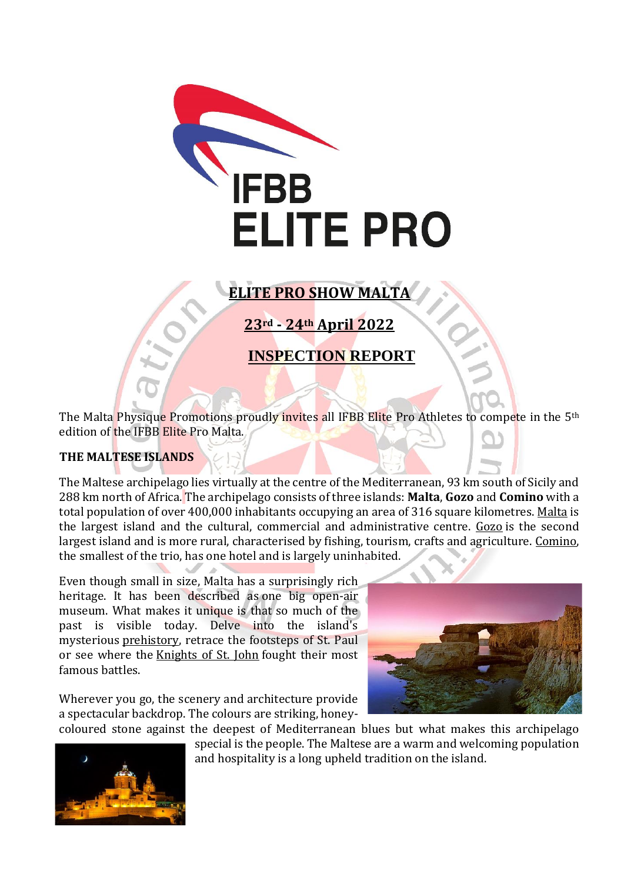

# **ELITE PRO SHOW MALTA**

**23rd - 24th April 2022**

## **INSPECTION REPORT**

The Malta Physique Promotions proudly invites all IFBB Elite Pro Athletes to compete in the 5<sup>th</sup> edition of the IFBB Elite Pro Malta.

## **THE MALTESE ISLANDS**

The Maltese archipelago lies virtually at the centre of the Mediterranean, 93 km south of Sicily and 288 km north of Africa. The archipelago consists of three islands: **Malta**, **Gozo** and **Comino** with a total population of over 400,000 inhabitants occupying an area of 316 square kilometres. [Malta](http://www.visitmalta.com/en/island-of-malta) is the largest island and the cultural, commercial and administrative centre. [Gozo](http://www.visitmalta.com/en/island-of-gozo) is the second largest island and is more rural, characterised by fishing, tourism, crafts and agriculture. [Comino,](http://www.visitmalta.com/en/island-of-comino)  the smallest of the trio, has one hotel and is largely uninhabited.

Even though small in size, Malta has a surprisingly rich heritage. It has been described as one big open-air museum. What makes it unique is that so much of the past is visible today. Delve into the island's mysterious [prehistory,](http://www.visitmalta.com/en/prehistory) retrace the footsteps of St. Paul or see where the [Knights of St. John](http://www.visitmalta.com/en/knights-of-stjohn) fought their most famous battles.

Wherever you go, the scenery and architecture provide a spectacular backdrop. The colours are striking, honey-





coloured stone against the deepest of Mediterranean blues but what makes this archipelago special is the people. The Maltese are a warm and welcoming population and hospitality is a long upheld tradition on the island.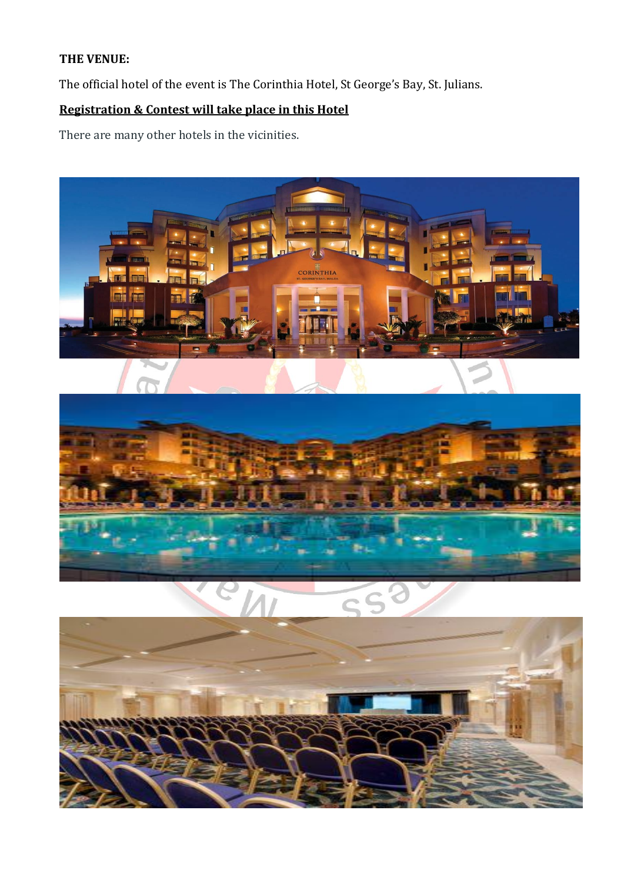## **THE VENUE:**

The official hotel of the event is The Corinthia Hotel, St George's Bay, St. Julians.

## **Registration & Contest will take place in this Hotel**

There are many other hotels in the vicinities.

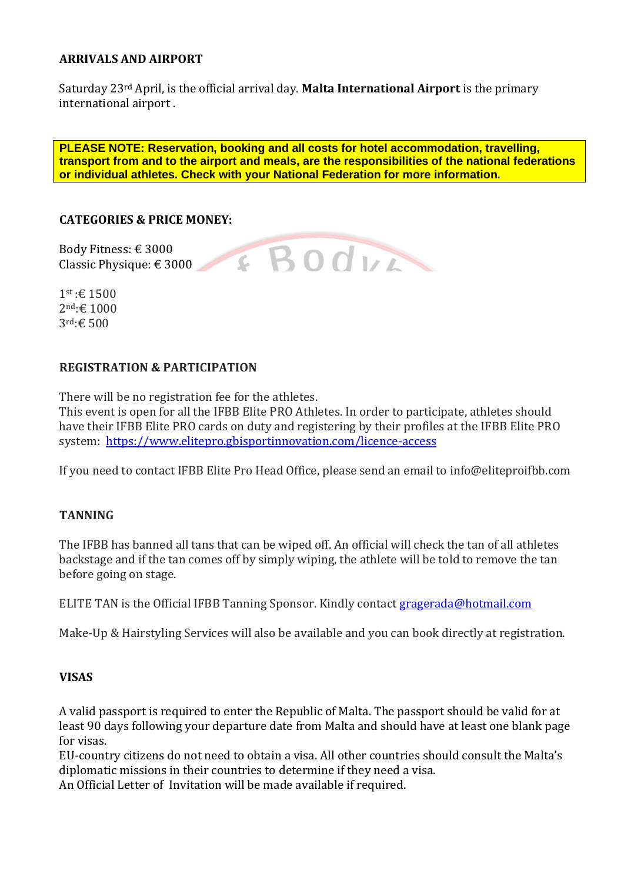#### **ARRIVALS AND AIRPORT**

Saturday 23rd April, is the official arrival day. **Malta International Airport** is the primary international airport .

**PLEASE NOTE: Reservation, booking and all costs for hotel accommodation, travelling, transport from and to the airport and meals, are the responsibilities of the national federations or individual athletes. Check with your National Federation for more information.**

#### **CATEGORIES & PRICE MONEY:**

Body Fitness: € 3000 Classic Physique: € 3000

1st :€ 1500 2nd:€ 1000 3rd:€ 500

#### **REGISTRATION & PARTICIPATION**

There will be no registration fee for the athletes. This event is open for all the IFBB Elite PRO Athletes. In order to participate, athletes should have their IFBB Elite PRO cards on duty and registering by their profiles at the IFBB Elite PRO system: <https://www.elitepro.gbisportinnovation.com/licence-access>

If you need to contact IFBB Elite Pro Head Office, please send an email to info@eliteproifbb.com

#### **TANNING**

The IFBB has banned all tans that can be wiped off. An official will check the tan of all athletes backstage and if the tan comes off by simply wiping, the athlete will be told to remove the tan before going on stage.

ELITE TAN is the Official IFBB Tanning Sponsor. Kindly contact [gragerada@hotmail.com](mailto:gragerada@hotmail.com)

Make-Up & Hairstyling Services will also be available and you can book directly at registration.

#### **VISAS**

A valid passport is required to enter the Republic of Malta. The passport should be valid for at least 90 days following your departure date from Malta and should have at least one blank page for visas.

EU-country citizens do not need to obtain a visa. All other countries should consult the Malta's diplomatic missions in their countries to determine if they need a visa. An Official Letter of Invitation will be made available if required.